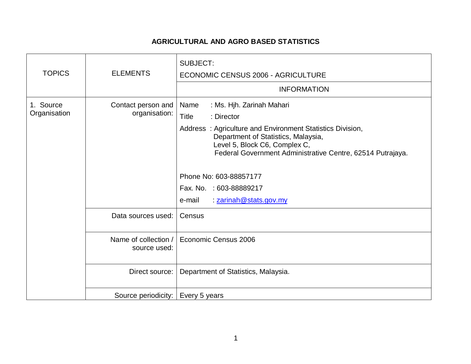## **AGRICULTURAL AND AGRO BASED STATISTICS**

| <b>TOPICS</b>             | <b>ELEMENTS</b>                      | <b>SUBJECT:</b><br><b>ECONOMIC CENSUS 2006 - AGRICULTURE</b><br><b>INFORMATION</b>                                                                                                                                                                                                                                                                          |
|---------------------------|--------------------------------------|-------------------------------------------------------------------------------------------------------------------------------------------------------------------------------------------------------------------------------------------------------------------------------------------------------------------------------------------------------------|
| 1. Source<br>Organisation | Contact person and<br>organisation:  | : Ms. Hjh. Zarinah Mahari<br>Name<br><b>Title</b><br>: Director<br>Address: Agriculture and Environment Statistics Division,<br>Department of Statistics, Malaysia,<br>Level 5, Block C6, Complex C,<br>Federal Government Administrative Centre, 62514 Putrajaya.<br>Phone No: 603-88857177<br>Fax. No. : 603-88889217<br>: zarinah@stats.gov.my<br>e-mail |
|                           | Data sources used:                   | Census                                                                                                                                                                                                                                                                                                                                                      |
|                           | Name of collection /<br>source used: | Economic Census 2006                                                                                                                                                                                                                                                                                                                                        |
|                           | Direct source:                       | Department of Statistics, Malaysia.                                                                                                                                                                                                                                                                                                                         |
|                           | Source periodicity:                  | Every 5 years                                                                                                                                                                                                                                                                                                                                               |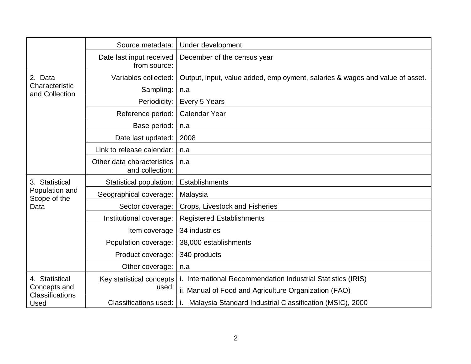|                                                                  | Source metadata:                              | Under development                                                            |
|------------------------------------------------------------------|-----------------------------------------------|------------------------------------------------------------------------------|
|                                                                  | Date last input received<br>from source:      | December of the census year                                                  |
| 2. Data<br>Characteristic<br>and Collection                      | Variables collected:                          | Output, input, value added, employment, salaries & wages and value of asset. |
|                                                                  | Sampling:                                     | n.a                                                                          |
|                                                                  | Periodicity:                                  | Every 5 Years                                                                |
|                                                                  | Reference period:                             | <b>Calendar Year</b>                                                         |
|                                                                  | Base period:                                  | n.a                                                                          |
|                                                                  | Date last updated:                            | 2008                                                                         |
|                                                                  | Link to release calendar:                     | n.a                                                                          |
|                                                                  | Other data characteristics<br>and collection: | n.a                                                                          |
| 3. Statistical<br>Population and<br>Scope of the<br>Data         | Statistical population:                       | Establishments                                                               |
|                                                                  | Geographical coverage:                        | Malaysia                                                                     |
|                                                                  | Sector coverage:                              | Crops, Livestock and Fisheries                                               |
|                                                                  | Institutional coverage:                       | <b>Registered Establishments</b>                                             |
|                                                                  | Item coverage                                 | 34 industries                                                                |
|                                                                  | Population coverage:                          | 38,000 establishments                                                        |
|                                                                  | Product coverage:                             | 340 products                                                                 |
|                                                                  | Other coverage:                               | n.a                                                                          |
| 4. Statistical<br>Concepts and<br><b>Classifications</b><br>Used | Key statistical concepts                      | i. International Recommendation Industrial Statistics (IRIS)                 |
|                                                                  | used:                                         | ii. Manual of Food and Agriculture Organization (FAO)                        |
|                                                                  | Classifications used:                         | Malaysia Standard Industrial Classification (MSIC), 2000                     |